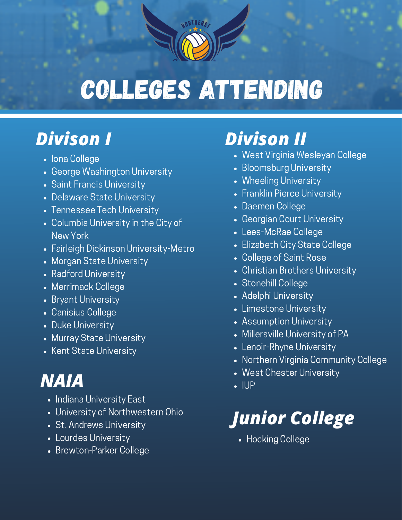# Colleges Attending

ORTHEAC

#### *Divison I*

- Iona College
- George Washington University
- Saint Francis University
- Delaware State University
- Tennessee Tech University
- Columbia University in the City of New York
- Fairleigh Dickinson University-Metro
- Morgan State University
- Radford University
- Merrimack College
- Bryant University
- Canisius College
- Duke University
- Murray State University
- Kent State University

### *NAIA*

- Indiana University East
- University of Northwestern Ohio
- St. Andrews University
- Lourdes University
- Brewton-Parker College

## *Divison II*

- West Virginia Wesleyan College
- Bloomsburg University
- Wheeling University
- Franklin Pierce University
- Daemen College
- Georgian Court University
- Lees-McRae College
- Elizabeth City State College
- College of Saint Rose
- Christian Brothers University
- Stonehill College
- Adelphi University
- Limestone University
- Assumption University
- Millersville University of PA
- Lenoir-Rhyne University
- Northern Virginia Community College
- West Chester University
- $\cdot$  IUP

# *Junior College*

Hocking College